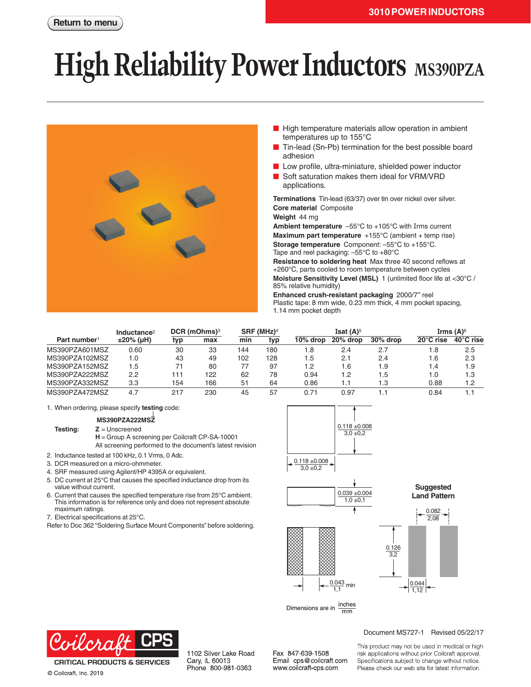# **High Reliability Power Inductors** MS390PZA



- High temperature materials allow operation in ambient temperatures up to 155°C
- Tin-lead (Sn-Pb) termination for the best possible board adhesion
- Low profile, ultra-miniature, shielded power inductor
- Soft saturation makes them ideal for VRM/VRD applications.

**Terminations** Tin-lead (63/37) over tin over nickel over silver. **Core material** Composite

#### **Weight** 44 mg

**Ambient temperature** –55°C to +105°C with Irms current **Maximum part temperature** +155°C (ambient + temp rise) **Storage temperature** Component: –55°C to +155°C. Tape and reel packaging: –55°C to +80°C

**Resistance to soldering heat** Max three 40 second reflows at +260°C, parts cooled to room temperature between cycles **Moisture Sensitivity Level (MSL)** 1 (unlimited floor life at <30°C / 85% relative humidity)

**Enhanced crush-resistant packaging** 2000/7″ reel Plastic tape: 8 mm wide, 0.23 mm thick, 4 mm pocket spacing, 1.14 mm pocket depth

|                          | Inductance <sup>2</sup> | $DCR$ (mOhms) <sup>3</sup> |     | SRF (MHz) <sup>4</sup> |     | Isat $(A)^5$ |          |          | Irms $(A)$ <sup>6</sup> |           |
|--------------------------|-------------------------|----------------------------|-----|------------------------|-----|--------------|----------|----------|-------------------------|-----------|
| Part number <sup>1</sup> | $±20\%$ (µH)            | typ                        | max | min                    | typ | $10\%$ drop  | 20% drop | 30% drop | $20^{\circ}$ C rise     | 40°C rise |
| MS390PZA601MSZ           | 0.60                    | 30                         | 33  | 144                    | 180 | . .8         | 2.4      | 2.7      | 1.8                     | 2.5       |
| MS390PZA102MSZ           | 1.0                     | 43                         | 49  | 102                    | 128 | 5.،          | 2.1      | 2.4      | 1.6                     | 2.3       |
| MS390PZA152MSZ           | 5. ا                    | 71                         | 80  | 77                     | 97  | l.2          | 1.6      | 1.9      | 1.4                     | 1.9       |
| MS390PZA222MSZ           | 2.2                     | 11                         | 122 | 62                     | 78  | 0.94         | 1.2      | 1.5      | 1.0                     | 1.3       |
| MS390PZA332MSZ           | 3.3                     | 154                        | 166 | 51                     | 64  | 0.86         | 1.1      | 1.3      | 0.88                    | 1.2       |
| MS390PZA472MSZ           | 4.7                     | 217                        | 230 | 45                     | 57  | 0.71         | 0.97     |          | 0.84                    |           |

1. When ordering, please specify **testing** code:

#### **MS390PZA222MSZ**

**Testing: Z** = Unscreened **H** = Group A screening per Coilcraft CP-SA-10001 All screening performed to the document's latest revision

- 2. Inductance tested at 100 kHz, 0.1 Vrms, 0 Adc.
- 3. DCR measured on a micro-ohmmeter.
- 4. SRF measured using Agilent/HP 4395A or equivalent.
- 5. DC current at 25°C that causes the specified inductance drop from its
- value without current.
- 6. Current that causes the specified temperature rise from 25°C ambient. This information is for reference only and does not represent absolute maximum ratings.
- 7. Electrical specifications at 25°C.
- Refer to Doc 362 "Soldering Surface Mount Components" before soldering.



Dimensions are in  $\frac{\text{inches}}{\text{mm}}$ 



**CRITICAL PRODUCTS & SERVICES** © Coilcraft, Inc. 2019

1102 Silver Lake Road Cary, IL 60013 Phone 800-981-0363

Fax 847-639-1508 Email cps@coilcraft.com www.coilcraft-cps.com

#### Document MS727-1 Revised 05/22/17

This product may not be used in medical or high risk applications without prior Coilcraft approval. Specifications subject to change without notice. Please check our web site for latest information.